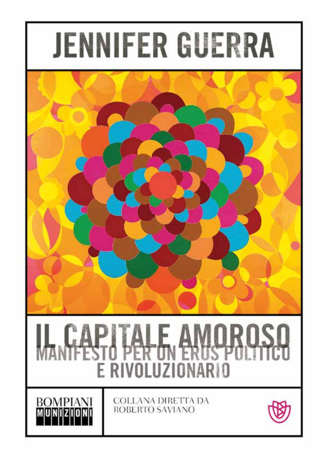



# E RIVOLUZIONARIO

COLLANA DIRETTA DA **ROBERTO SAVIANO** 

**BOMPIANI** 

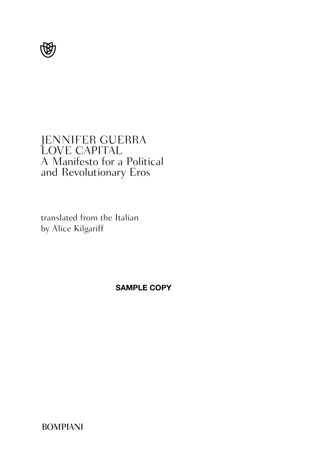

## JENNIFER GUERRA LOVE CAPITAL A Manifesto for a Political and Revolutionary Eros

translated from the Italian by Alice Kilgariff

**SAMPLE COPY**

BOMPIANI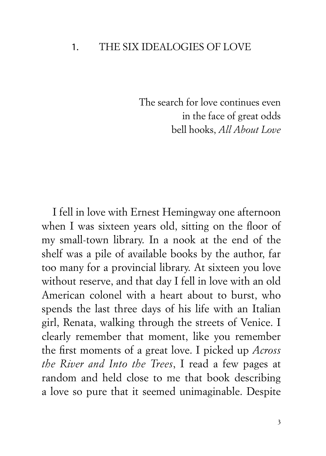#### 1. THE SIX IDEALOGIES OF LOVE

The search for love continues even in the face of great odds bell hooks, *All About Love*

I fell in love with Ernest Hemingway one afternoon when I was sixteen years old, sitting on the floor of my small-town library. In a nook at the end of the shelf was a pile of available books by the author, far too many for a provincial library. At sixteen you love without reserve, and that day I fell in love with an old American colonel with a heart about to burst, who spends the last three days of his life with an Italian girl, Renata, walking through the streets of Venice. I clearly remember that moment, like you remember the first moments of a great love. I picked up *Across the River and Into the Trees*, I read a few pages at random and held close to me that book describing a love so pure that it seemed unimaginable. Despite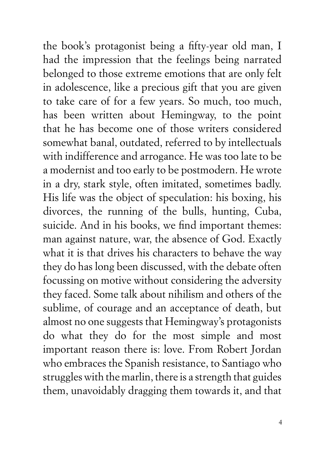the book's protagonist being a fifty-year old man, I had the impression that the feelings being narrated belonged to those extreme emotions that are only felt in adolescence, like a precious gift that you are given to take care of for a few years. So much, too much, has been written about Hemingway, to the point that he has become one of those writers considered somewhat banal, outdated, referred to by intellectuals with indifference and arrogance. He was too late to be a modernist and too early to be postmodern. He wrote in a dry, stark style, often imitated, sometimes badly. His life was the object of speculation: his boxing, his divorces, the running of the bulls, hunting, Cuba, suicide. And in his books, we find important themes: man against nature, war, the absence of God. Exactly what it is that drives his characters to behave the way they do has long been discussed, with the debate often focussing on motive without considering the adversity they faced. Some talk about nihilism and others of the sublime, of courage and an acceptance of death, but almost no one suggests that Hemingway's protagonists do what they do for the most simple and most important reason there is: love. From Robert Jordan who embraces the Spanish resistance, to Santiago who struggles with the marlin, there is a strength that guides them, unavoidably dragging them towards it, and that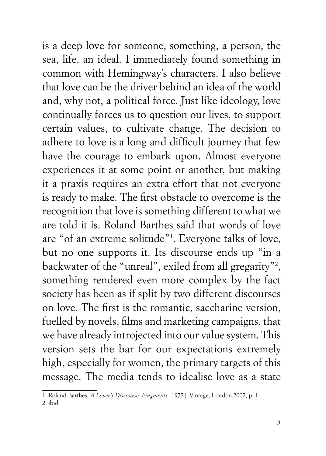is a deep love for someone, something, a person, the sea, life, an ideal. I immediately found something in common with Hemingway's characters. I also believe that love can be the driver behind an idea of the world and, why not, a political force. Just like ideology, love continually forces us to question our lives, to support certain values, to cultivate change. The decision to adhere to love is a long and difficult journey that few have the courage to embark upon. Almost everyone experiences it at some point or another, but making it a praxis requires an extra effort that not everyone is ready to make. The first obstacle to overcome is the recognition that love is something different to what we are told it is. Roland Barthes said that words of love are "of an extreme solitude"1 . Everyone talks of love, but no one supports it. Its discourse ends up "in a backwater of the "unreal", exiled from all gregarity"2 , something rendered even more complex by the fact society has been as if split by two different discourses on love. The first is the romantic, saccharine version, fuelled by novels, films and marketing campaigns, that we have already introjected into our value system. This version sets the bar for our expectations extremely high, especially for women, the primary targets of this message. The media tends to idealise love as a state

<sup>1</sup> Roland Barthes, *A Lover's Discourse: Fragments* [1977], Vintage, London 2002, p. 1

<sup>2</sup> ibid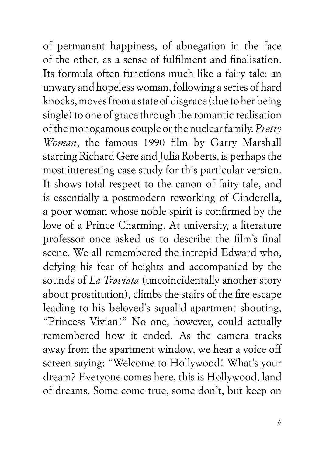of permanent happiness, of abnegation in the face of the other, as a sense of fulfilment and finalisation. Its formula often functions much like a fairy tale: an unwary and hopeless woman, following a series of hard knocks, moves from a state of disgrace (due to her being single) to one of grace through the romantic realisation of the monogamous couple or the nuclear family. *Pretty Woman*, the famous 1990 film by Garry Marshall starring Richard Gere and Julia Roberts, is perhaps the most interesting case study for this particular version. It shows total respect to the canon of fairy tale, and is essentially a postmodern reworking of Cinderella, a poor woman whose noble spirit is confirmed by the love of a Prince Charming. At university, a literature professor once asked us to describe the film's final scene. We all remembered the intrepid Edward who, defying his fear of heights and accompanied by the sounds of *La Traviata* (uncoincidentally another story about prostitution), climbs the stairs of the fire escape leading to his beloved's squalid apartment shouting, "Princess Vivian!" No one, however, could actually remembered how it ended. As the camera tracks away from the apartment window, we hear a voice off screen saying: "Welcome to Hollywood! What's your dream? Everyone comes here, this is Hollywood, land of dreams. Some come true, some don't, but keep on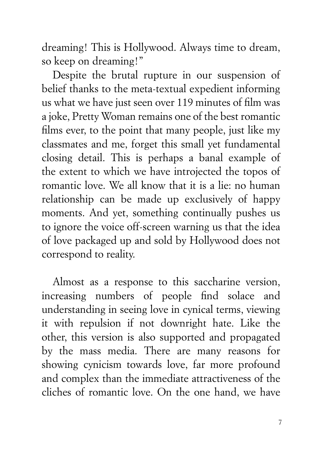dreaming! This is Hollywood. Always time to dream, so keep on dreaming!"

Despite the brutal rupture in our suspension of belief thanks to the meta-textual expedient informing us what we have just seen over 119 minutes of film was a joke, Pretty Woman remains one of the best romantic films ever, to the point that many people, just like my classmates and me, forget this small yet fundamental closing detail. This is perhaps a banal example of the extent to which we have introjected the topos of romantic love. We all know that it is a lie: no human relationship can be made up exclusively of happy moments. And yet, something continually pushes us to ignore the voice off-screen warning us that the idea of love packaged up and sold by Hollywood does not correspond to reality.

Almost as a response to this saccharine version, increasing numbers of people find solace and understanding in seeing love in cynical terms, viewing it with repulsion if not downright hate. Like the other, this version is also supported and propagated by the mass media. There are many reasons for showing cynicism towards love, far more profound and complex than the immediate attractiveness of the cliches of romantic love. On the one hand, we have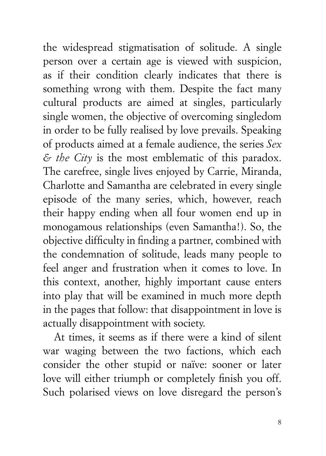the widespread stigmatisation of solitude. A single person over a certain age is viewed with suspicion, as if their condition clearly indicates that there is something wrong with them. Despite the fact many cultural products are aimed at singles, particularly single women, the objective of overcoming singledom in order to be fully realised by love prevails. Speaking of products aimed at a female audience, the series *Sex & the City* is the most emblematic of this paradox. The carefree, single lives enjoyed by Carrie, Miranda, Charlotte and Samantha are celebrated in every single episode of the many series, which, however, reach their happy ending when all four women end up in monogamous relationships (even Samantha!). So, the objective difficulty in finding a partner, combined with the condemnation of solitude, leads many people to feel anger and frustration when it comes to love. In this context, another, highly important cause enters into play that will be examined in much more depth in the pages that follow: that disappointment in love is actually disappointment with society.

At times, it seems as if there were a kind of silent war waging between the two factions, which each consider the other stupid or naïve: sooner or later love will either triumph or completely finish you off. Such polarised views on love disregard the person's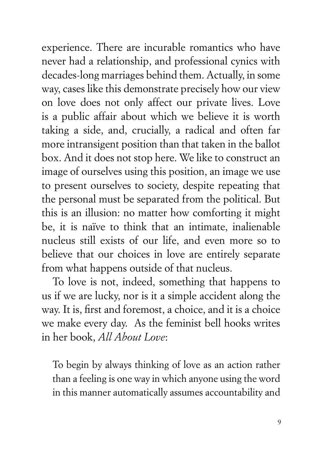experience. There are incurable romantics who have never had a relationship, and professional cynics with decades-long marriages behind them. Actually, in some way, cases like this demonstrate precisely how our view on love does not only affect our private lives. Love is a public affair about which we believe it is worth taking a side, and, crucially, a radical and often far more intransigent position than that taken in the ballot box. And it does not stop here. We like to construct an image of ourselves using this position, an image we use to present ourselves to society, despite repeating that the personal must be separated from the political. But this is an illusion: no matter how comforting it might be, it is naïve to think that an intimate, inalienable nucleus still exists of our life, and even more so to believe that our choices in love are entirely separate from what happens outside of that nucleus.

To love is not, indeed, something that happens to us if we are lucky, nor is it a simple accident along the way. It is, first and foremost, a choice, and it is a choice we make every day. As the feminist bell hooks writes in her book, *All About Love*:

To begin by always thinking of love as an action rather than a feeling is one way in which anyone using the word in this manner automatically assumes accountability and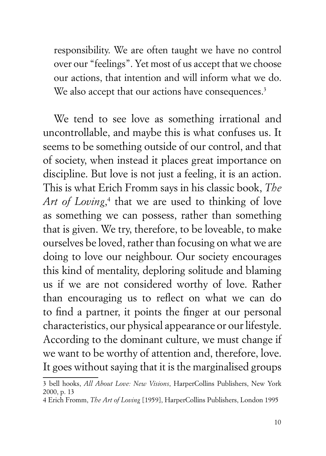responsibility. We are often taught we have no control over our "feelings". Yet most of us accept that we choose our actions, that intention and will inform what we do. We also accept that our actions have consequences.<sup>3</sup>

We tend to see love as something irrational and uncontrollable, and maybe this is what confuses us. It seems to be something outside of our control, and that of society, when instead it places great importance on discipline. But love is not just a feeling, it is an action. This is what Erich Fromm says in his classic book, *The*  Art of Loving,<sup>4</sup> that we are used to thinking of love as something we can possess, rather than something that is given. We try, therefore, to be loveable, to make ourselves be loved, rather than focusing on what we are doing to love our neighbour. Our society encourages this kind of mentality, deploring solitude and blaming us if we are not considered worthy of love. Rather than encouraging us to reflect on what we can do to find a partner, it points the finger at our personal characteristics, our physical appearance or our lifestyle. According to the dominant culture, we must change if we want to be worthy of attention and, therefore, love. It goes without saying that it is the marginalised groups

<sup>3</sup> bell hooks, *All About Love: New Visions*, HarperCollins Publishers, New York 2000, p. 13

<sup>4</sup> Erich Fromm, *The Art of Loving* [1959], HarperCollins Publishers, London 1995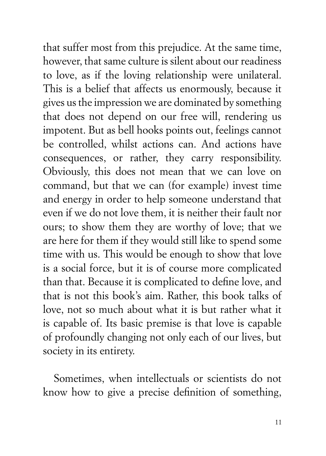that suffer most from this prejudice. At the same time, however, that same culture is silent about our readiness to love, as if the loving relationship were unilateral. This is a belief that affects us enormously, because it gives us the impression we are dominated by something that does not depend on our free will, rendering us impotent. But as bell hooks points out, feelings cannot be controlled, whilst actions can. And actions have consequences, or rather, they carry responsibility. Obviously, this does not mean that we can love on command, but that we can (for example) invest time and energy in order to help someone understand that even if we do not love them, it is neither their fault nor ours; to show them they are worthy of love; that we are here for them if they would still like to spend some time with us. This would be enough to show that love is a social force, but it is of course more complicated than that. Because it is complicated to define love, and that is not this book's aim. Rather, this book talks of love, not so much about what it is but rather what it is capable of. Its basic premise is that love is capable of profoundly changing not only each of our lives, but society in its entirety.

Sometimes, when intellectuals or scientists do not know how to give a precise definition of something,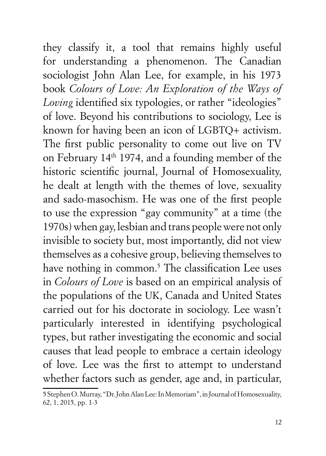they classify it, a tool that remains highly useful for understanding a phenomenon. The Canadian sociologist John Alan Lee, for example, in his 1973 book *Colours of Love: An Exploration of the Ways of Loving* identified six typologies, or rather "ideologies" of love. Beyond his contributions to sociology, Lee is known for having been an icon of LGBTQ+ activism. The first public personality to come out live on TV on February 14th 1974, and a founding member of the historic scientific journal, Journal of Homosexuality, he dealt at length with the themes of love, sexuality and sado-masochism. He was one of the first people to use the expression "gay community" at a time (the 1970s) when gay, lesbian and trans people were not only invisible to society but, most importantly, did not view themselves as a cohesive group, believing themselves to have nothing in common.<sup>5</sup> The classification Lee uses in *Colours of Love* is based on an empirical analysis of the populations of the UK, Canada and United States carried out for his doctorate in sociology. Lee wasn't particularly interested in identifying psychological types, but rather investigating the economic and social causes that lead people to embrace a certain ideology of love. Lee was the first to attempt to understand whether factors such as gender, age and, in particular,

<sup>5</sup> Stephen O. Murray, "Dr. John Alan Lee: In Memoriam", in Journal of Homosexuality, 62, 1, 2015, pp. 1-3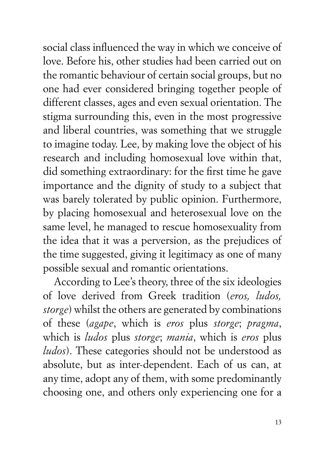social class influenced the way in which we conceive of love. Before his, other studies had been carried out on the romantic behaviour of certain social groups, but no one had ever considered bringing together people of different classes, ages and even sexual orientation. The stigma surrounding this, even in the most progressive and liberal countries, was something that we struggle to imagine today. Lee, by making love the object of his research and including homosexual love within that, did something extraordinary: for the first time he gave importance and the dignity of study to a subject that was barely tolerated by public opinion. Furthermore, by placing homosexual and heterosexual love on the same level, he managed to rescue homosexuality from the idea that it was a perversion, as the prejudices of the time suggested, giving it legitimacy as one of many possible sexual and romantic orientations.

According to Lee's theory, three of the six ideologies of love derived from Greek tradition (*eros, ludos, storge*) whilst the others are generated by combinations of these (*agape*, which is *eros* plus *storge*; *pragma*, which is *ludos* plus *storge*; *mania*, which is *eros* plus *ludos*). These categories should not be understood as absolute, but as inter-dependent. Each of us can, at any time, adopt any of them, with some predominantly choosing one, and others only experiencing one for a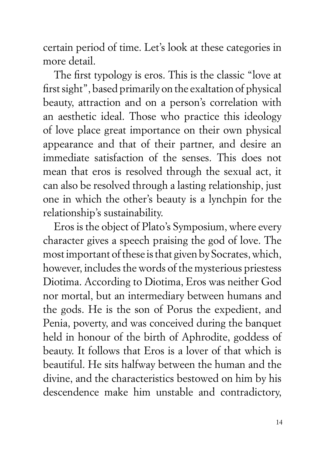certain period of time. Let's look at these categories in more detail.

The first typology is eros. This is the classic "love at first sight", based primarily on the exaltation of physical beauty, attraction and on a person's correlation with an aesthetic ideal. Those who practice this ideology of love place great importance on their own physical appearance and that of their partner, and desire an immediate satisfaction of the senses. This does not mean that eros is resolved through the sexual act, it can also be resolved through a lasting relationship, just one in which the other's beauty is a lynchpin for the relationship's sustainability.

Eros is the object of Plato's Symposium, where every character gives a speech praising the god of love. The most important of these is that given by Socrates, which, however, includes the words of the mysterious priestess Diotima. According to Diotima, Eros was neither God nor mortal, but an intermediary between humans and the gods. He is the son of Porus the expedient, and Penia, poverty, and was conceived during the banquet held in honour of the birth of Aphrodite, goddess of beauty. It follows that Eros is a lover of that which is beautiful. He sits halfway between the human and the divine, and the characteristics bestowed on him by his descendence make him unstable and contradictory,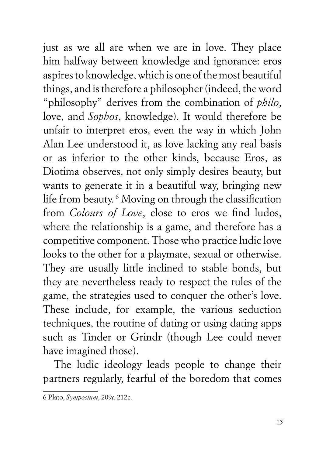just as we all are when we are in love. They place him halfway between knowledge and ignorance: eros aspires to knowledge, which is one of the most beautiful things, and is therefore a philosopher (indeed, the word "philosophy" derives from the combination of *philo*, love, and *Sophos*, knowledge). It would therefore be unfair to interpret eros, even the way in which John Alan Lee understood it, as love lacking any real basis or as inferior to the other kinds, because Eros, as Diotima observes, not only simply desires beauty, but wants to generate it in a beautiful way, bringing new life from beauty. 6 Moving on through the classification from *Colours of Love*, close to eros we find ludos, where the relationship is a game, and therefore has a competitive component. Those who practice ludic love looks to the other for a playmate, sexual or otherwise. They are usually little inclined to stable bonds, but they are nevertheless ready to respect the rules of the game, the strategies used to conquer the other's love. These include, for example, the various seduction techniques, the routine of dating or using dating apps such as Tinder or Grindr (though Lee could never have imagined those).

The ludic ideology leads people to change their partners regularly, fearful of the boredom that comes

<sup>6</sup> Plato, *Symposium*, 209a-212c.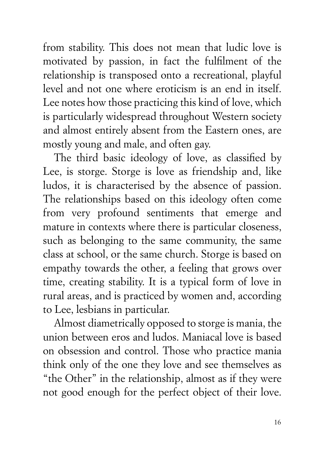from stability. This does not mean that ludic love is motivated by passion, in fact the fulfilment of the relationship is transposed onto a recreational, playful level and not one where eroticism is an end in itself. Lee notes how those practicing this kind of love, which is particularly widespread throughout Western society and almost entirely absent from the Eastern ones, are mostly young and male, and often gay.

The third basic ideology of love, as classified by Lee, is storge. Storge is love as friendship and, like ludos, it is characterised by the absence of passion. The relationships based on this ideology often come from very profound sentiments that emerge and mature in contexts where there is particular closeness, such as belonging to the same community, the same class at school, or the same church. Storge is based on empathy towards the other, a feeling that grows over time, creating stability. It is a typical form of love in rural areas, and is practiced by women and, according to Lee, lesbians in particular.

Almost diametrically opposed to storge is mania, the union between eros and ludos. Maniacal love is based on obsession and control. Those who practice mania think only of the one they love and see themselves as "the Other" in the relationship, almost as if they were not good enough for the perfect object of their love.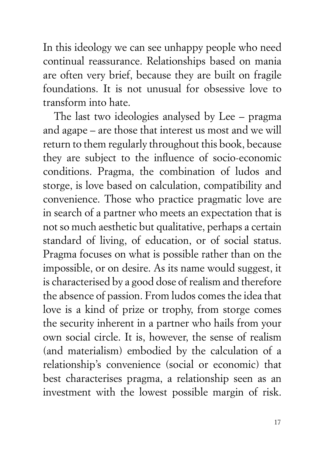In this ideology we can see unhappy people who need continual reassurance. Relationships based on mania are often very brief, because they are built on fragile foundations. It is not unusual for obsessive love to transform into hate.

The last two ideologies analysed by Lee – pragma and agape – are those that interest us most and we will return to them regularly throughout this book, because they are subject to the influence of socio-economic conditions. Pragma, the combination of ludos and storge, is love based on calculation, compatibility and convenience. Those who practice pragmatic love are in search of a partner who meets an expectation that is not so much aesthetic but qualitative, perhaps a certain standard of living, of education, or of social status. Pragma focuses on what is possible rather than on the impossible, or on desire. As its name would suggest, it is characterised by a good dose of realism and therefore the absence of passion. From ludos comes the idea that love is a kind of prize or trophy, from storge comes the security inherent in a partner who hails from your own social circle. It is, however, the sense of realism (and materialism) embodied by the calculation of a relationship's convenience (social or economic) that best characterises pragma, a relationship seen as an investment with the lowest possible margin of risk.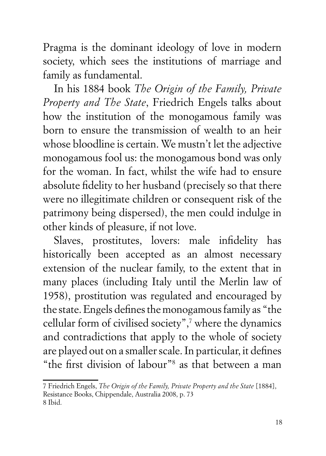Pragma is the dominant ideology of love in modern society, which sees the institutions of marriage and family as fundamental.

In his 1884 book *The Origin of the Family, Private Property and The State*, Friedrich Engels talks about how the institution of the monogamous family was born to ensure the transmission of wealth to an heir whose bloodline is certain. We mustn't let the adjective monogamous fool us: the monogamous bond was only for the woman. In fact, whilst the wife had to ensure absolute fidelity to her husband (precisely so that there were no illegitimate children or consequent risk of the patrimony being dispersed), the men could indulge in other kinds of pleasure, if not love.

Slaves, prostitutes, lovers: male infidelity has historically been accepted as an almost necessary extension of the nuclear family, to the extent that in many places (including Italy until the Merlin law of 1958), prostitution was regulated and encouraged by the state. Engels defines the monogamous family as "the cellular form of civilised society",7 where the dynamics and contradictions that apply to the whole of society are played out on a smaller scale. In particular, it defines "the first division of labour"8 as that between a man

<sup>7</sup> Friedrich Engels, *The Origin of the Family, Private Property and the State* [1884], Resistance Books, Chippendale, Australia 2008, p. 73 8 Ibid.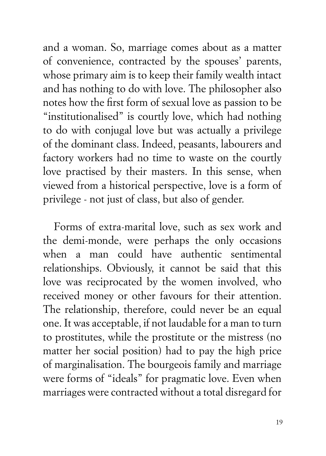and a woman. So, marriage comes about as a matter of convenience, contracted by the spouses' parents, whose primary aim is to keep their family wealth intact and has nothing to do with love. The philosopher also notes how the first form of sexual love as passion to be "institutionalised" is courtly love, which had nothing to do with conjugal love but was actually a privilege of the dominant class. Indeed, peasants, labourers and factory workers had no time to waste on the courtly love practised by their masters. In this sense, when viewed from a historical perspective, love is a form of privilege - not just of class, but also of gender.

Forms of extra-marital love, such as sex work and the demi-monde, were perhaps the only occasions when a man could have authentic sentimental relationships. Obviously, it cannot be said that this love was reciprocated by the women involved, who received money or other favours for their attention. The relationship, therefore, could never be an equal one. It was acceptable, if not laudable for a man to turn to prostitutes, while the prostitute or the mistress (no matter her social position) had to pay the high price of marginalisation. The bourgeois family and marriage were forms of "ideals" for pragmatic love. Even when marriages were contracted without a total disregard for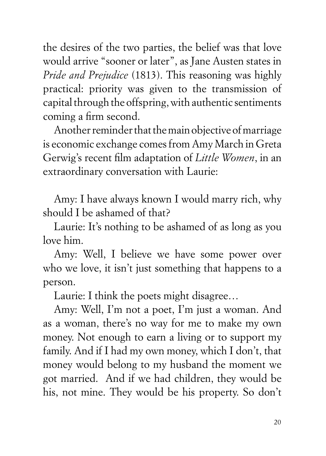the desires of the two parties, the belief was that love would arrive "sooner or later", as Jane Austen states in *Pride and Prejudice* (1813). This reasoning was highly practical: priority was given to the transmission of capital through the offspring, with authentic sentiments coming a firm second.

Another reminder that the main objective of marriage is economic exchange comes from Amy March in Greta Gerwig's recent film adaptation of *Little Women*, in an extraordinary conversation with Laurie:

Amy: I have always known I would marry rich, why should I be ashamed of that?

Laurie: It's nothing to be ashamed of as long as you love him.

Amy: Well, I believe we have some power over who we love, it isn't just something that happens to a person.

Laurie: I think the poets might disagree…

Amy: Well, I'm not a poet, I'm just a woman. And as a woman, there's no way for me to make my own money. Not enough to earn a living or to support my family. And if I had my own money, which I don't, that money would belong to my husband the moment we got married. And if we had children, they would be his, not mine. They would be his property. So don't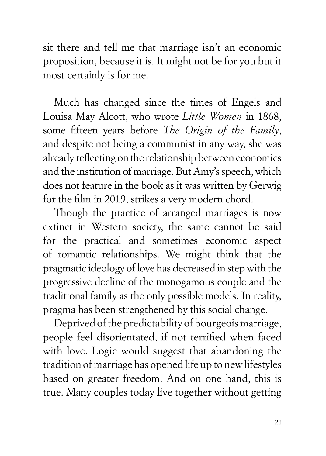sit there and tell me that marriage isn't an economic proposition, because it is. It might not be for you but it most certainly is for me.

Much has changed since the times of Engels and Louisa May Alcott, who wrote *Little Women* in 1868, some fifteen years before *The Origin of the Family*, and despite not being a communist in any way, she was already reflecting on the relationship between economics and the institution of marriage. But Amy's speech, which does not feature in the book as it was written by Gerwig for the film in 2019, strikes a very modern chord.

Though the practice of arranged marriages is now extinct in Western society, the same cannot be said for the practical and sometimes economic aspect of romantic relationships. We might think that the pragmatic ideology of love has decreased in step with the progressive decline of the monogamous couple and the traditional family as the only possible models. In reality, pragma has been strengthened by this social change.

Deprived of the predictability of bourgeois marriage, people feel disorientated, if not terrified when faced with love. Logic would suggest that abandoning the tradition of marriage has opened life up to new lifestyles based on greater freedom. And on one hand, this is true. Many couples today live together without getting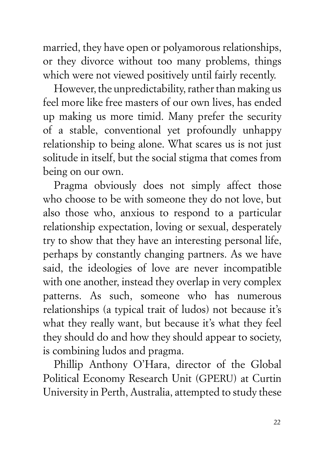married, they have open or polyamorous relationships, or they divorce without too many problems, things which were not viewed positively until fairly recently.

However, the unpredictability, rather than making us feel more like free masters of our own lives, has ended up making us more timid. Many prefer the security of a stable, conventional yet profoundly unhappy relationship to being alone. What scares us is not just solitude in itself, but the social stigma that comes from being on our own.

Pragma obviously does not simply affect those who choose to be with someone they do not love, but also those who, anxious to respond to a particular relationship expectation, loving or sexual, desperately try to show that they have an interesting personal life, perhaps by constantly changing partners. As we have said, the ideologies of love are never incompatible with one another, instead they overlap in very complex patterns. As such, someone who has numerous relationships (a typical trait of ludos) not because it's what they really want, but because it's what they feel they should do and how they should appear to society, is combining ludos and pragma.

Phillip Anthony O'Hara, director of the Global Political Economy Research Unit (GPERU) at Curtin University in Perth, Australia, attempted to study these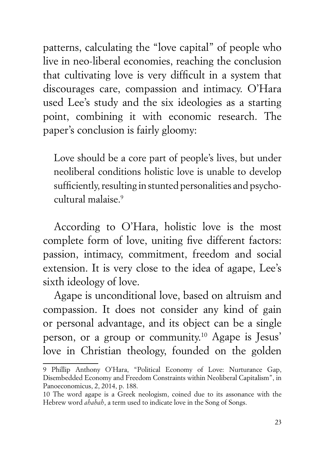patterns, calculating the "love capital" of people who live in neo-liberal economies, reaching the conclusion that cultivating love is very difficult in a system that discourages care, compassion and intimacy. O'Hara used Lee's study and the six ideologies as a starting point, combining it with economic research. The paper's conclusion is fairly gloomy:

Love should be a core part of people's lives, but under neoliberal conditions holistic love is unable to develop sufficiently, resulting in stunted personalities and psychocultural malaise.9

According to O'Hara, holistic love is the most complete form of love, uniting five different factors: passion, intimacy, commitment, freedom and social extension. It is very close to the idea of agape, Lee's sixth ideology of love.

Agape is unconditional love, based on altruism and compassion. It does not consider any kind of gain or personal advantage, and its object can be a single person, or a group or community.10 Agape is Jesus' love in Christian theology, founded on the golden

<sup>9</sup> Phillip Anthony O'Hara, "Political Economy of Love: Nurturance Gap, Disembedded Economy and Freedom Constraints within Neoliberal Capitalism", in Panoeconomicus, 2, 2014, p. 188.

<sup>10</sup> The word agape is a Greek neologism, coined due to its assonance with the Hebrew word *ahabah*, a term used to indicate love in the Song of Songs.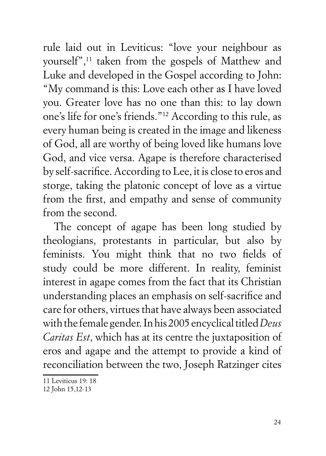rule laid out in Leviticus: "love your neighbour as yourself",11 taken from the gospels of Matthew and Luke and developed in the Gospel according to John: "My command is this: Love each other as I have loved you. Greater love has no one than this: to lay down one's life for one's friends."12 According to this rule, as every human being is created in the image and likeness of God, all are worthy of being loved like humans love God, and vice versa. Agape is therefore characterised by self-sacrifice. According to Lee, it is close to eros and storge, taking the platonic concept of love as a virtue from the first, and empathy and sense of community from the second.

The concept of agape has been long studied by theologians, protestants in particular, but also by feminists. You might think that no two fields of study could be more different. In reality, feminist interest in agape comes from the fact that its Christian understanding places an emphasis on self-sacrifice and care for others, virtues that have always been associated with the female gender. In his 2005 encyclical titled *Deus Caritas Est*, which has at its centre the juxtaposition of eros and agape and the attempt to provide a kind of reconciliation between the two, Joseph Ratzinger cites

<sup>11</sup> Leviticus 19: 18

<sup>12</sup> John 15,12-13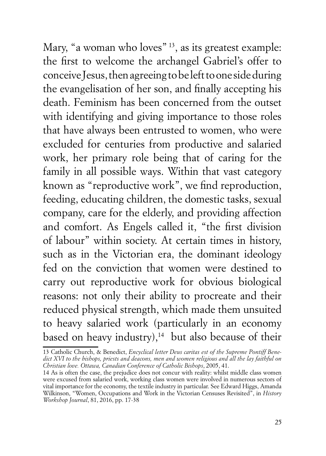Mary, "a woman who loves" <sup>13</sup>, as its greatest example: the first to welcome the archangel Gabriel's offer to conceive Jesus, then agreeing to be left to one side during the evangelisation of her son, and finally accepting his death. Feminism has been concerned from the outset with identifying and giving importance to those roles that have always been entrusted to women, who were excluded for centuries from productive and salaried work, her primary role being that of caring for the family in all possible ways. Within that vast category known as "reproductive work", we find reproduction, feeding, educating children, the domestic tasks, sexual company, care for the elderly, and providing affection and comfort. As Engels called it, "the first division of labour" within society. At certain times in history, such as in the Victorian era, the dominant ideology fed on the conviction that women were destined to carry out reproductive work for obvious biological reasons: not only their ability to procreate and their reduced physical strength, which made them unsuited to heavy salaried work (particularly in an economy based on heavy industry), $14$  but also because of their

<sup>13</sup> Catholic Church, & Benedict, *Encyclical letter Deus caritas est of the Supreme Pontiff Benedict XVI to the bishops, priests and deacons, men and women religious and all the lay faithful on Christian love. Ottawa, Canadian Conference of Catholic Bishops*, 2005, 41.

<sup>14</sup> As is often the case, the prejudice does not concur with reality: whilst middle class women were excused from salaried work, working class women were involved in numerous sectors of vital importance for the economy, the textile industry in particular. See Edward Higgs, Amanda Wilkinson, "Women, Occupations and Work in the Victorian Censuses Revisited", in *History Workshop Journal*, 81, 2016, pp. 17-38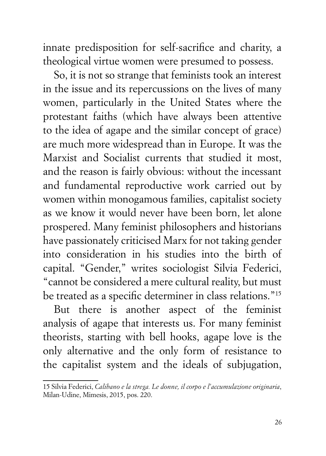innate predisposition for self-sacrifice and charity, a theological virtue women were presumed to possess.

So, it is not so strange that feminists took an interest in the issue and its repercussions on the lives of many women, particularly in the United States where the protestant faiths (which have always been attentive to the idea of agape and the similar concept of grace) are much more widespread than in Europe. It was the Marxist and Socialist currents that studied it most, and the reason is fairly obvious: without the incessant and fundamental reproductive work carried out by women within monogamous families, capitalist society as we know it would never have been born, let alone prospered. Many feminist philosophers and historians have passionately criticised Marx for not taking gender into consideration in his studies into the birth of capital. "Gender," writes sociologist Silvia Federici, "cannot be considered a mere cultural reality, but must be treated as a specific determiner in class relations."15

But there is another aspect of the feminist analysis of agape that interests us. For many feminist theorists, starting with bell hooks, agape love is the only alternative and the only form of resistance to the capitalist system and the ideals of subjugation,

<sup>15</sup> Silvia Federici, *Calibano e la strega. Le donne, il corpo e l'accumulazione originaria*, Milan-Udine, Mimesis, 2015, pos. 220.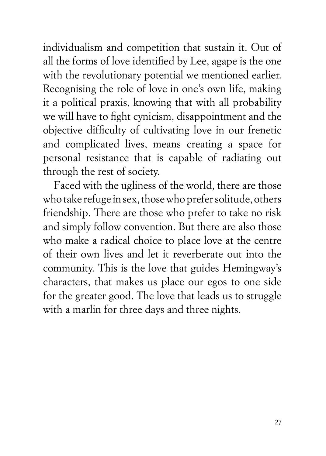individualism and competition that sustain it. Out of all the forms of love identified by Lee, agape is the one with the revolutionary potential we mentioned earlier. Recognising the role of love in one's own life, making it a political praxis, knowing that with all probability we will have to fight cynicism, disappointment and the objective difficulty of cultivating love in our frenetic and complicated lives, means creating a space for personal resistance that is capable of radiating out through the rest of society.

Faced with the ugliness of the world, there are those who take refuge in sex, those who prefer solitude, others friendship. There are those who prefer to take no risk and simply follow convention. But there are also those who make a radical choice to place love at the centre of their own lives and let it reverberate out into the community. This is the love that guides Hemingway's characters, that makes us place our egos to one side for the greater good. The love that leads us to struggle with a marlin for three days and three nights.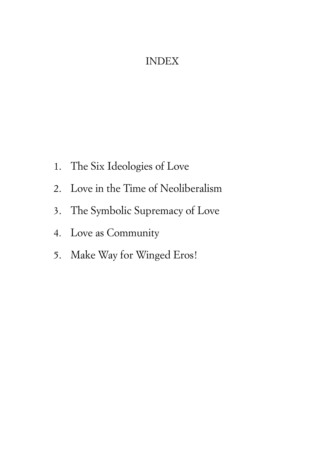## INDEX

- 1. The Six Ideologies of Love
- 2. Love in the Time of Neoliberalism
- 3. The Symbolic Supremacy of Love
- 4. Love as Community
- 5. Make Way for Winged Eros!